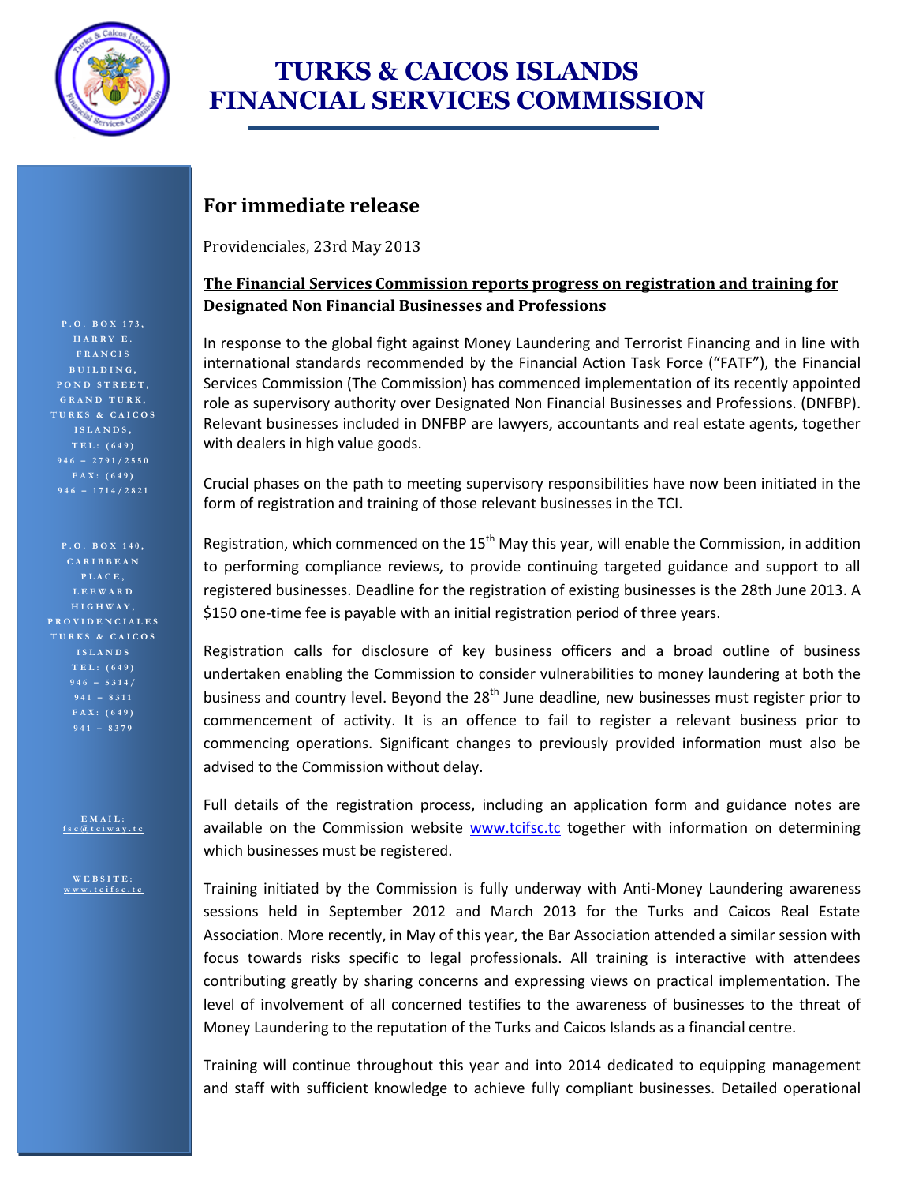

## **TURKS & CAICOS ISLANDS FINANCIAL SERVICES COMMISSION**

### **For immediate release**

Providenciales, 23rd May 2013

### **The Financial Services Commission reports progress on registration and training for Designated Non Financial Businesses and Professions**

In response to the global fight against Money Laundering and Terrorist Financing and in line with international standards recommended by the Financial Action Task Force ("FATF"), the Financial Services Commission (The Commission) has commenced implementation of its recently appointed role as supervisory authority over Designated Non Financial Businesses and Professions. (DNFBP). Relevant businesses included in DNFBP are lawyers, accountants and real estate agents, together with dealers in high value goods.

Crucial phases on the path to meeting supervisory responsibilities have now been initiated in the form of registration and training of those relevant businesses in the TCI.

Registration, which commenced on the  $15<sup>th</sup>$  May this year, will enable the Commission, in addition to performing compliance reviews, to provide continuing targeted guidance and support to all registered businesses. Deadline for the registration of existing businesses is the 28th June 2013. A \$150 one-time fee is payable with an initial registration period of three years.

Registration calls for disclosure of key business officers and a broad outline of business undertaken enabling the Commission to consider vulnerabilities to money laundering at both the business and country level. Beyond the  $28<sup>th</sup>$  June deadline, new businesses must register prior to commencement of activity. It is an offence to fail to register a relevant business prior to commencing operations. Significant changes to previously provided information must also be advised to the Commission without delay.

Full details of the registration process, including an application form and guidance notes are available on the Commission website [www.tcifsc.tc](http://www.tcifsc.tc/) together with information on determining which businesses must be registered.

Training initiated by the Commission is fully underway with Anti-Money Laundering awareness sessions held in September 2012 and March 2013 for the Turks and Caicos Real Estate Association. More recently, in May of this year, the Bar Association attended a similar session with focus towards risks specific to legal professionals. All training is interactive with attendees contributing greatly by sharing concerns and expressing views on practical implementation. The level of involvement of all concerned testifies to the awareness of businesses to the threat of Money Laundering to the reputation of the Turks and Caicos Islands as a financial centre.

Training will continue throughout this year and into 2014 dedicated to equipping management and staff with sufficient knowledge to achieve fully compliant businesses. Detailed operational

**P . O . B O X 1 7 3 , H A R R Y E . F R A N C I S B U I L D I N G , P O N D S T R E E T , G R A N D T U R K , T U R K S & C A I C O S I S L A N D S , 946 – 1 7 1 4 / 2 8 2 1**

**P . O . B O X 1 4 0 , C A R I B B E A N L E E W A R D H I G H W A Y , P R O V I D E N C I A L E S T U R K S & C A I C O S I S L A N D S T E L : ( 6 4 9 )** 

> **E M A I L : [f s c @ t c i w a y . t c](mailto:fsc@tciway.tc)**

**W E B S I T E : [w w w . t c i f s c . t c](http://www.tcifsc.tc/)**